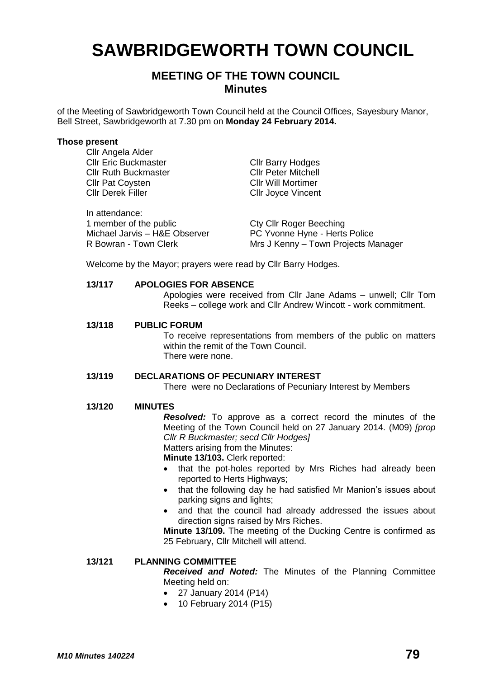# **SAWBRIDGEWORTH TOWN COUNCIL**

## **MEETING OF THE TOWN COUNCIL Minutes**

of the Meeting of Sawbridgeworth Town Council held at the Council Offices, Sayesbury Manor, Bell Street, Sawbridgeworth at 7.30 pm on **Monday 24 February 2014.**

#### **Those present** Cllr Angela Alder

| <b>UIII Aliyeld Aluel</b>     |                                     |
|-------------------------------|-------------------------------------|
| <b>Cllr Eric Buckmaster</b>   | <b>Cllr Barry Hodges</b>            |
| <b>Cllr Ruth Buckmaster</b>   | <b>CIIr Peter Mitchell</b>          |
| <b>Cllr Pat Coysten</b>       | <b>CIIr Will Mortimer</b>           |
| <b>Cllr Derek Filler</b>      | <b>CIIr Joyce Vincent</b>           |
| In attendance:                |                                     |
| 1 member of the public        | <b>Cty Cllr Roger Beeching</b>      |
| Michael Jarvis - H&E Observer | PC Yvonne Hyne - Herts Police       |
| R Bowran - Town Clerk         | Mrs J Kenny - Town Projects Manager |

Welcome by the Mayor; prayers were read by Cllr Barry Hodges.

#### **13/117 APOLOGIES FOR ABSENCE**

Apologies were received from Cllr Jane Adams – unwell; Cllr Tom Reeks – college work and Cllr Andrew Wincott - work commitment.

**13/118 PUBLIC FORUM**

To receive representations from members of the public on matters within the remit of the Town Council. There were none.

#### **13/119 DECLARATIONS OF PECUNIARY INTEREST**

There were no Declarations of Pecuniary Interest by Members

#### **13/120 MINUTES**

*Resolved:* To approve as a correct record the minutes of the Meeting of the Town Council held on 27 January 2014. (M09) *[prop Cllr R Buckmaster; secd Cllr Hodges]* Matters arising from the Minutes:

**Minute 13/103.** Clerk reported:

- that the pot-holes reported by Mrs Riches had already been reported to Herts Highways;
- that the following day he had satisfied Mr Manion's issues about parking signs and lights;
- and that the council had already addressed the issues about direction signs raised by Mrs Riches.

**Minute 13/109.** The meeting of the Ducking Centre is confirmed as 25 February, Cllr Mitchell will attend.

### **13/121 PLANNING COMMITTEE**

*Received and Noted:* The Minutes of the Planning Committee Meeting held on:

- 27 January 2014 (P14)
- 10 February 2014 (P15)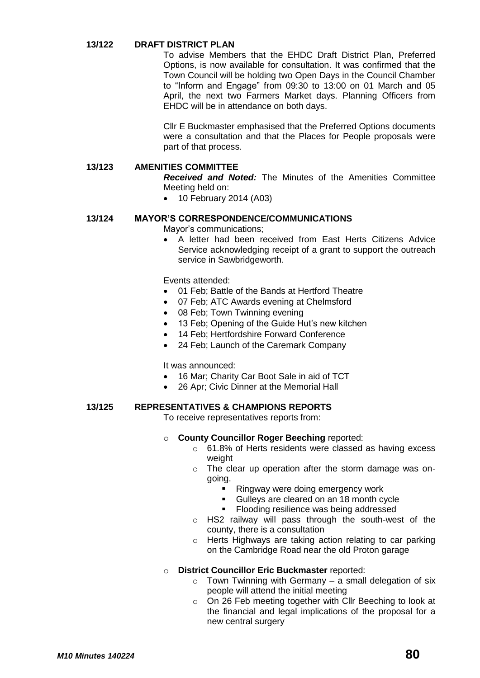#### **13/122 DRAFT DISTRICT PLAN**

To advise Members that the EHDC Draft District Plan, Preferred Options, is now available for consultation. It was confirmed that the Town Council will be holding two Open Days in the Council Chamber to "Inform and Engage" from 09:30 to 13:00 on 01 March and 05 April, the next two Farmers Market days. Planning Officers from EHDC will be in attendance on both days.

Cllr E Buckmaster emphasised that the Preferred Options documents were a consultation and that the Places for People proposals were part of that process.

#### **13/123 AMENITIES COMMITTEE**

*Received and Noted:* The Minutes of the Amenities Committee Meeting held on:

10 February 2014 (A03)

#### **13/124 MAYOR'S CORRESPONDENCE/COMMUNICATIONS**

Mayor's communications;

 A letter had been received from East Herts Citizens Advice Service acknowledging receipt of a grant to support the outreach service in Sawbridgeworth.

Events attended:

- 01 Feb; Battle of the Bands at Hertford Theatre
- 07 Feb; ATC Awards evening at Chelmsford
- 08 Feb; Town Twinning evening
- 13 Feb; Opening of the Guide Hut's new kitchen
- 14 Feb; Hertfordshire Forward Conference
- 24 Feb; Launch of the Caremark Company

It was announced:

- 16 Mar; Charity Car Boot Sale in aid of TCT
- 26 Apr; Civic Dinner at the Memorial Hall

#### **13/125 REPRESENTATIVES & CHAMPIONS REPORTS**

To receive representatives reports from:

- o **County Councillor Roger Beeching** reported:
	- o 61.8% of Herts residents were classed as having excess weight
	- o The clear up operation after the storm damage was ongoing.
		- Ringway were doing emergency work
		- Gulleys are cleared on an 18 month cycle
		- Flooding resilience was being addressed
	- o HS2 railway will pass through the south-west of the county, there is a consultation
	- o Herts Highways are taking action relating to car parking on the Cambridge Road near the old Proton garage

#### o **District Councillor Eric Buckmaster** reported:

- $\circ$  Town Twinning with Germany a small delegation of six people will attend the initial meeting
- o On 26 Feb meeting together with Cllr Beeching to look at the financial and legal implications of the proposal for a new central surgery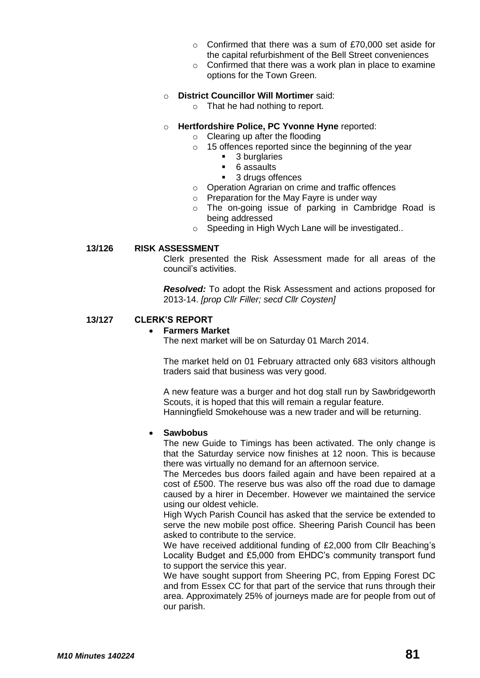- o Confirmed that there was a sum of £70,000 set aside for the capital refurbishment of the Bell Street conveniences
- $\circ$  Confirmed that there was a work plan in place to examine options for the Town Green.

#### o **District Councillor Will Mortimer** said:

o That he had nothing to report.

#### o **Hertfordshire Police, PC Yvonne Hyne** reported:

- o Clearing up after the flooding
- o 15 offences reported since the beginning of the year
	- **3** burglaries
		- 6 assaults
		- 3 drugs offences
- o Operation Agrarian on crime and traffic offences
- o Preparation for the May Fayre is under way
- o The on-going issue of parking in Cambridge Road is being addressed
- o Speeding in High Wych Lane will be investigated..

#### **13/126 RISK ASSESSMENT**

Clerk presented the Risk Assessment made for all areas of the council's activities.

*Resolved:* To adopt the Risk Assessment and actions proposed for 2013-14. *[prop Cllr Filler; secd Cllr Coysten]*

#### **13/127 CLERK'S REPORT**

#### **Farmers Market**

The next market will be on Saturday 01 March 2014.

The market held on 01 February attracted only 683 visitors although traders said that business was very good.

A new feature was a burger and hot dog stall run by Sawbridgeworth Scouts, it is hoped that this will remain a regular feature. Hanningfield Smokehouse was a new trader and will be returning.

#### **Sawbobus**

The new Guide to Timings has been activated. The only change is that the Saturday service now finishes at 12 noon. This is because there was virtually no demand for an afternoon service.

The Mercedes bus doors failed again and have been repaired at a cost of £500. The reserve bus was also off the road due to damage caused by a hirer in December. However we maintained the service using our oldest vehicle.

High Wych Parish Council has asked that the service be extended to serve the new mobile post office. Sheering Parish Council has been asked to contribute to the service.

We have received additional funding of £2,000 from Cllr Beaching's Locality Budget and £5,000 from EHDC's community transport fund to support the service this year.

We have sought support from Sheering PC, from Epping Forest DC and from Essex CC for that part of the service that runs through their area. Approximately 25% of journeys made are for people from out of our parish.